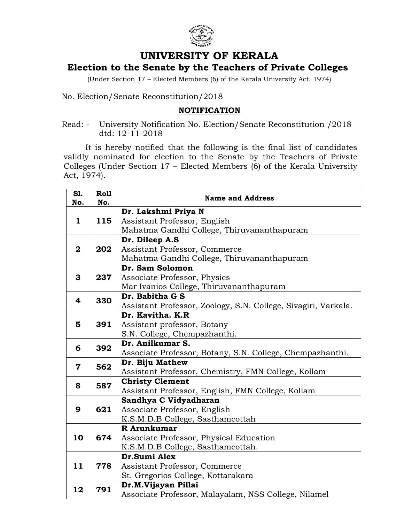

## **UNIVERSITY OF KERALA**

## **Election to the Senate by the Teachers of Private Colleges**

(Under Section 17 – Elected Members (6) of the Kerala University Act, 1974)

No. Election/Senate Reconstitution/2018

## **NOTIFICATION**

Read: - University Notification No. Election/Senate Reconstitution /2018 dtd: 12-11-2018

It is hereby notified that the following is the final list of candidates validly nominated for election to the Senate by the Teachers of Private Colleges (Under Section 17 – Elected Members (6) of the Kerala University Act, 1974).

| S1.<br>No.              | <b>Roll</b><br>No. | <b>Name and Address</b>                                        |
|-------------------------|--------------------|----------------------------------------------------------------|
| 1                       | 115                | Dr. Lakshmi Priya N                                            |
|                         |                    | Assistant Professor, English                                   |
|                         |                    | Mahatma Gandhi College, Thiruvananthapuram                     |
| $\overline{2}$          | 202                | Dr. Dileep A.S                                                 |
|                         |                    | Assistant Professor, Commerce                                  |
|                         |                    | Mahatma Gandhi College, Thiruvananthapuram                     |
| 3                       | 237                | Dr. Sam Solomon                                                |
|                         |                    | Associate Professor, Physics                                   |
|                         |                    | Mar Ivanios College, Thiruvananthapuram                        |
| 4                       | 330                | Dr. Babitha G S                                                |
|                         |                    | Assistant Professor, Zoology, S.N. College, Sivagiri, Varkala. |
|                         | 391                | Dr. Kavitha. K.R                                               |
| 5                       |                    | Assistant professor, Botany                                    |
|                         |                    | S.N. College, Chempazhanthi.                                   |
| 6                       | 392                | Dr. Anilkumar S.                                               |
|                         |                    | Associate Professor, Botany, S.N. College, Chempazhanthi.      |
| $\overline{\mathbf{7}}$ | 562                | Dr. Biju Mathew                                                |
|                         |                    | Assistant Professor, Chemistry, FMN College, Kollam            |
| 8                       | 587                | <b>Christy Clement</b>                                         |
|                         |                    | Assistant Professor, English, FMN College, Kollam              |
|                         | 621                | Sandhya C Vidyadharan                                          |
| 9                       |                    | Associate Professor, English                                   |
|                         |                    | K.S.M.D.B College, Sasthamcottah                               |
|                         | 674                | R Arunkumar                                                    |
| 10                      |                    | Associate Professor, Physical Education                        |
|                         |                    | K.S.M.D.B College, Sasthamcottah.                              |
| 11                      | 778                | Dr.Sumi Alex                                                   |
|                         |                    | Assistant Professor, Commerce                                  |
|                         |                    | St. Gregorios College, Kottarakara                             |
| 12                      | 791                | Dr.M.Vijayan Pillai                                            |
|                         |                    | Associate Professor, Malayalam, NSS College, Nilamel           |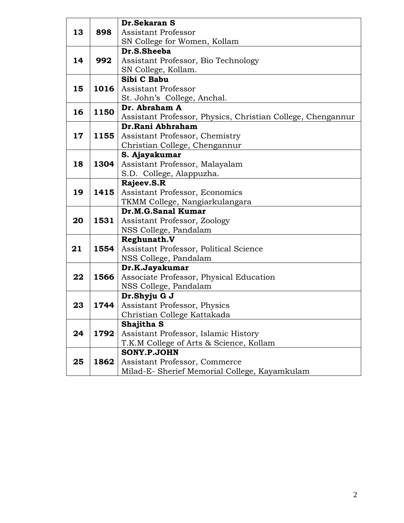|    |      | Dr.Sekaran S                                                |
|----|------|-------------------------------------------------------------|
| 13 | 898  | Assistant Professor                                         |
|    |      | SN College for Women, Kollam                                |
|    |      | Dr.S.Sheeba                                                 |
| 14 | 992  | Assistant Professor, Bio Technology                         |
|    |      | SN College, Kollam.                                         |
|    |      | Sibi C Babu                                                 |
| 15 | 1016 | Assistant Professor                                         |
|    |      | St. John's College, Anchal.                                 |
| 16 | 1150 | Dr. Abraham A                                               |
|    |      | Assistant Professor, Physics, Christian College, Chengannur |
| 17 | 1155 | Dr.Rani Abhraham                                            |
|    |      | Assistant Professor, Chemistry                              |
|    |      | Christian College, Chengannur                               |
|    |      | S. Ajayakumar                                               |
| 18 | 1304 | Assistant Professor, Malayalam                              |
|    |      | S.D. College, Alappuzha.                                    |
|    |      | Rajeev.S.R                                                  |
| 19 | 1415 | Assistant Professor, Economics                              |
|    |      | TKMM College, Nangiarkulangara                              |
|    |      | Dr.M.G.Sanal Kumar                                          |
| 20 | 1531 | Assistant Professor, Zoology                                |
|    |      | NSS College, Pandalam                                       |
|    |      | Reghunath.V                                                 |
| 21 | 1554 | Assistant Professor, Political Science                      |
|    |      | NSS College, Pandalam                                       |
|    |      | Dr.K.Jayakumar                                              |
| 22 | 1566 | Associate Professor, Physical Education                     |
|    |      | NSS College, Pandalam                                       |
|    |      | Dr.Shyju G J                                                |
| 23 | 1744 | Assistant Professor, Physics                                |
|    |      | Christian College Kattakada                                 |
|    |      | Shajitha S                                                  |
| 24 | 1792 | Assistant Professor, Islamic History                        |
|    |      | T.K.M College of Arts & Science, Kollam                     |
|    |      | <b>SONY.P.JOHN</b>                                          |
| 25 | 1862 | Assistant Professor, Commerce                               |
|    |      | Milad-E- Sherief Memorial College, Kayamkulam               |